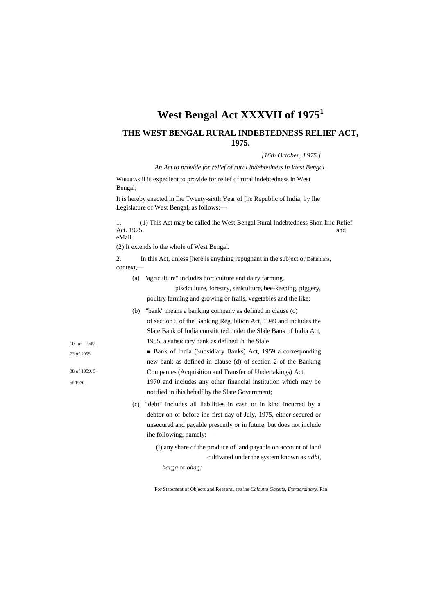## **West Bengal Act XXXVII of 1975<sup>1</sup>**

## **THE WEST BENGAL RURAL INDEBTEDNESS RELIEF ACT, 1975.**

*[16th October, J 975.]*

*An Act to provide for relief of rural indebtedness in West Bengal.*

WHEREAS ii is expedient to provide for relief of rural indebtedness in West Bengal;

It is hereby enacted in Ihe Twenty-sixth Year of [he Republic of India, by Ihe Legislature of West Bengal, as follows:—

1. (1) This Act may be called ihe West Bengal Rural Indebtedness Shon liiic Relief Act. 1975. and and set of the set of the set of the set of the set of the set of the set of the set of the set of the set of the set of the set of the set of the set of the set of the set of the set of the set of the set o eMail.

(2) It extends lo the whole of West Bengal.

2. In this Act, unless [here is anything repugnant in the subject or Definitions, context,—

(a) "agriculture" includes horticulture and dairy farming,

notified in ihis behalf by the Slate Government;

pisciculture, forestry, sericulture, bee-keeping, piggery, poultry farming and growing or frails, vegetables and the like;

(b) "bank" means a banking company as defined in clause (c) of section 5 of the Banking Regulation Act, 1949 and includes the Slate Bank of India constituted under the Slale Bank of India Act, 1955, a subsidiary bank as defined in ihe Stale

■ Bank of India (Subsidiary Banks) Act, 1959 a corresponding new bank as defined in clause (d) of section 2 of the Banking Companies (Acquisition and Transfer of Undertakings) Act, 1970 and includes any other financial institution which may be

- (c) "debt" includes all liabilities in cash or in kind incurred by a debtor on or before ihe first day of July, 1975, either secured or unsecured and payable presently or in future, but does not include ihe following, namely:—
	- (i) any share of the produce of land payable on account of land cultivated under the system known as *adhi,*

*barga* or *bhag;*

'For Statement of Objects and Reasons, *see* ihe *Calcutta Gazette, Extraordinary.* Pan

10 of 1949. *73* of 1955. 38 of 1959. 5

of 1970.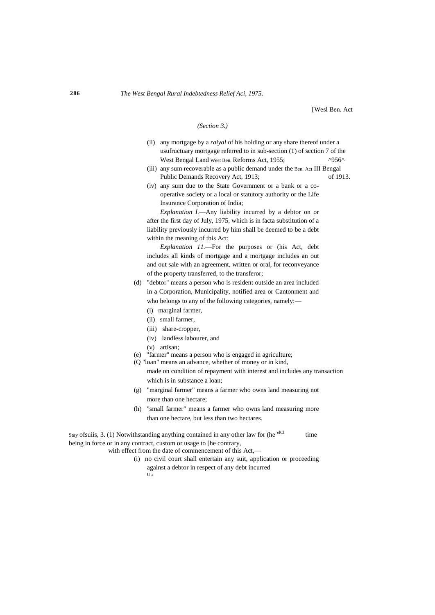[Wesl Ben. Act

## *(Section 3.)*

- (ii) any mortgage by a *raiyal* of his holding or any share thereof under a usufructuary mortgage referred to in sub-section (1) of scction 7 of the West Bengal Land West Ben. Reforms Act, 1955; ^956^
- (iii) any sum recoverable as a public demand under the Ben. Act III Bengal Public Demands Recovery Act, 1913; of 1913.
- (iv) any sum due to the State Government or a bank or a cooperative society or a local or statutory authority or the Life Insurance Corporation of India;

*Explanation I.*—Any liability incurred by a debtor on or after the first day of July, 1975, which is in facta substitution of a liability previously incurred by him shall be deemed to be a debt within the meaning of this Act;

*Explanation 11.*—For the purposes or (his Act, debt includes all kinds of mortgage and a mortgage includes an out and out sale with an agreement, written or oral, for reconveyance of the property transferred, to the transferor;

- (d) "debtor" means a person who is resident outside an area included in a Corporation, Municipality, notified area or Cantonment and who belongs to any of the following categories, namely:—
	- (i) marginal farmer,
	- (ii) small farmer,
	- (iii) share-cropper,
	- (iv) landless labourer, and
	- (v) artisan;
- (e) "farmer" means a person who is engaged in agriculture;
- (Q "loan" means an advance, whether of money or in kind,
	- made on condition of repayment with interest and includes any transaction which is in substance a loan;
- (g) "marginal farmer" means a farmer who owns land measuring not more than one hectare;
- (h) "small farmer" means a farmer who owns land measuring more than one hectare, but less than two hectares.

Stay ofsuiis, 3. (1) Notwithstanding anything contained in any other law for (he  $e^{iC}$  time being in force or in any contract, custom or usage to [he contrary,

with effect from the date of commencement of this Act,-

(i) no civil court shall entertain any suit, application or proceeding against a debtor in respect of any debt incurred  $U_{\cdot}$